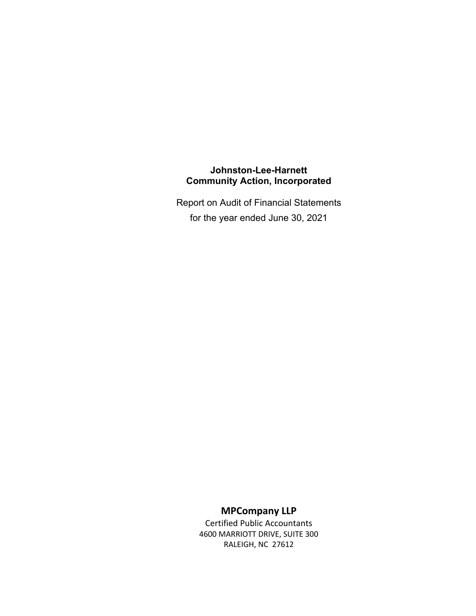# **Johnston-Lee-Harnett Community Action, Incorporated**

Report on Audit of Financial Statements for the year ended June 30, 2021

# **MPCompany LLP**

Certified Public Accountants 4600 MARRIOTT DRIVE, SUITE 300 RALEIGH, NC 27612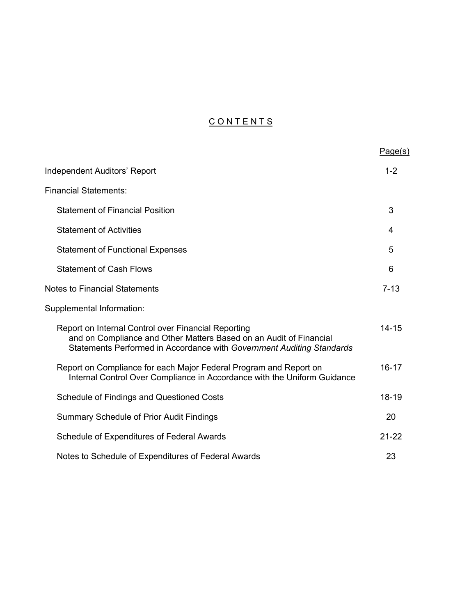# CONTENTS

|                                                                                                                                                                                                    | Page(s)   |
|----------------------------------------------------------------------------------------------------------------------------------------------------------------------------------------------------|-----------|
| <b>Independent Auditors' Report</b>                                                                                                                                                                | $1 - 2$   |
| <b>Financial Statements:</b>                                                                                                                                                                       |           |
| <b>Statement of Financial Position</b>                                                                                                                                                             | 3         |
| <b>Statement of Activities</b>                                                                                                                                                                     | 4         |
| <b>Statement of Functional Expenses</b>                                                                                                                                                            | 5         |
| <b>Statement of Cash Flows</b>                                                                                                                                                                     | 6         |
| <b>Notes to Financial Statements</b>                                                                                                                                                               | $7 - 13$  |
| Supplemental Information:                                                                                                                                                                          |           |
| Report on Internal Control over Financial Reporting<br>and on Compliance and Other Matters Based on an Audit of Financial<br>Statements Performed in Accordance with Government Auditing Standards | $14 - 15$ |
| Report on Compliance for each Major Federal Program and Report on<br>Internal Control Over Compliance in Accordance with the Uniform Guidance                                                      | $16 - 17$ |
| <b>Schedule of Findings and Questioned Costs</b>                                                                                                                                                   | 18-19     |
| <b>Summary Schedule of Prior Audit Findings</b>                                                                                                                                                    | 20        |
| Schedule of Expenditures of Federal Awards                                                                                                                                                         | $21 - 22$ |
| Notes to Schedule of Expenditures of Federal Awards                                                                                                                                                | 23        |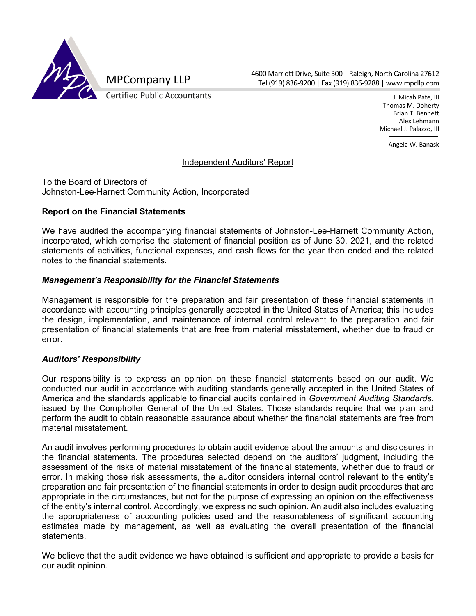

MPCompany LLP

**Certified Public Accountants** 

J. Micah Pate, III Thomas M. Doherty Brian T. Bennett Alex Lehmann Michael J. Palazzo, III

Angela W. Banask

#### Independent Auditors' Report

To the Board of Directors of Johnston-Lee-Harnett Community Action, Incorporated

#### **Report on the Financial Statements**

We have audited the accompanying financial statements of Johnston-Lee-Harnett Community Action, incorporated, which comprise the statement of financial position as of June 30, 2021, and the related statements of activities, functional expenses, and cash flows for the year then ended and the related notes to the financial statements.

#### *Management's Responsibility for the Financial Statements*

Management is responsible for the preparation and fair presentation of these financial statements in accordance with accounting principles generally accepted in the United States of America; this includes the design, implementation, and maintenance of internal control relevant to the preparation and fair presentation of financial statements that are free from material misstatement, whether due to fraud or error.

#### *Auditors' Responsibility*

Our responsibility is to express an opinion on these financial statements based on our audit. We conducted our audit in accordance with auditing standards generally accepted in the United States of America and the standards applicable to financial audits contained in *Government Auditing Standards*, issued by the Comptroller General of the United States. Those standards require that we plan and perform the audit to obtain reasonable assurance about whether the financial statements are free from material misstatement.

An audit involves performing procedures to obtain audit evidence about the amounts and disclosures in the financial statements. The procedures selected depend on the auditors' judgment, including the assessment of the risks of material misstatement of the financial statements, whether due to fraud or error. In making those risk assessments, the auditor considers internal control relevant to the entity's preparation and fair presentation of the financial statements in order to design audit procedures that are appropriate in the circumstances, but not for the purpose of expressing an opinion on the effectiveness of the entity's internal control. Accordingly, we express no such opinion. An audit also includes evaluating the appropriateness of accounting policies used and the reasonableness of significant accounting estimates made by management, as well as evaluating the overall presentation of the financial statements.

We believe that the audit evidence we have obtained is sufficient and appropriate to provide a basis for our audit opinion.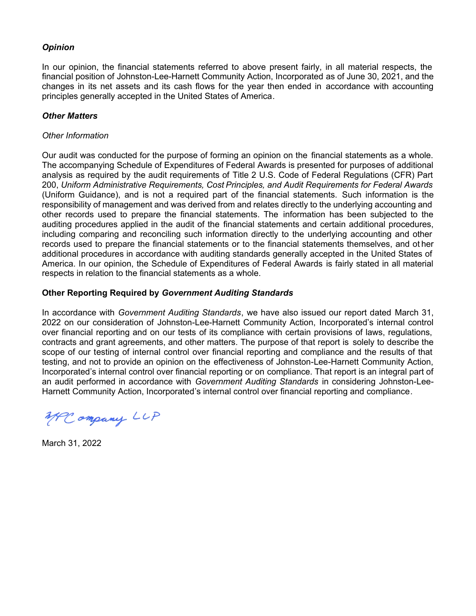# *Opinion*

In our opinion, the financial statements referred to above present fairly, in all material respects, the financial position of Johnston-Lee-Harnett Community Action, Incorporated as of June 30, 2021, and the changes in its net assets and its cash flows for the year then ended in accordance with accounting principles generally accepted in the United States of America.

#### *Other Matters*

#### *Other Information*

Our audit was conducted for the purpose of forming an opinion on the financial statements as a whole. The accompanying Schedule of Expenditures of Federal Awards is presented for purposes of additional analysis as required by the audit requirements of Title 2 U.S. Code of Federal Regulations (CFR) Part 200, *Uniform Administrative Requirements, Cost Principles, and Audit Requirements for Federal Awards* (Uniform Guidance), and is not a required part of the financial statements. Such information is the responsibility of management and was derived from and relates directly to the underlying accounting and other records used to prepare the financial statements. The information has been subjected to the auditing procedures applied in the audit of the financial statements and certain additional procedures, including comparing and reconciling such information directly to the underlying accounting and other records used to prepare the financial statements or to the financial statements themselves, and ot her additional procedures in accordance with auditing standards generally accepted in the United States of America. In our opinion, the Schedule of Expenditures of Federal Awards is fairly stated in all material respects in relation to the financial statements as a whole.

# **Other Reporting Required by** *Government Auditing Standards*

In accordance with *Government Auditing Standards*, we have also issued our report dated March 31, 2022 on our consideration of Johnston-Lee-Harnett Community Action, Incorporated's internal control over financial reporting and on our tests of its compliance with certain provisions of laws, regulations, contracts and grant agreements, and other matters. The purpose of that report is solely to describe the scope of our testing of internal control over financial reporting and compliance and the results of that testing, and not to provide an opinion on the effectiveness of Johnston-Lee-Harnett Community Action, Incorporated's internal control over financial reporting or on compliance. That report is an integral part of an audit performed in accordance with *Government Auditing Standards* in considering Johnston-Lee-Harnett Community Action, Incorporated's internal control over financial reporting and compliance.

MPC ompany LLP

March 31, 2022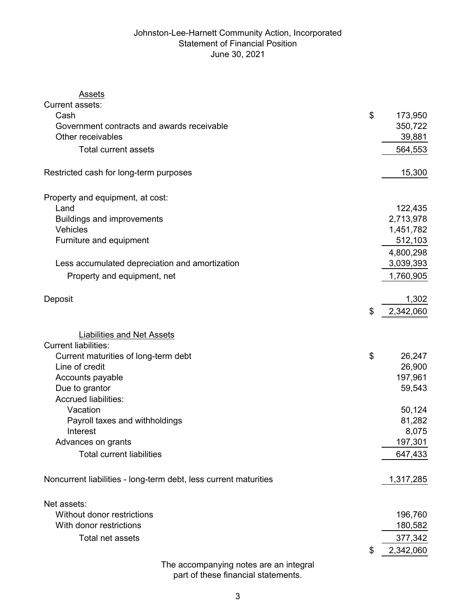# Johnston-Lee-Harnett Community Action, Incorporated Statement of Financial Position June 30, 2021

| Assets                                                           |                 |
|------------------------------------------------------------------|-----------------|
| Current assets:                                                  |                 |
| Cash                                                             | \$<br>173,950   |
| Government contracts and awards receivable                       | 350,722         |
| Other receivables                                                | 39,881          |
| <b>Total current assets</b>                                      | 564,553         |
| Restricted cash for long-term purposes                           | 15,300          |
| Property and equipment, at cost:                                 |                 |
| Land                                                             | 122,435         |
| <b>Buildings and improvements</b>                                | 2,713,978       |
| <b>Vehicles</b>                                                  | 1,451,782       |
| Furniture and equipment                                          | 512,103         |
|                                                                  | 4,800,298       |
| Less accumulated depreciation and amortization                   | 3,039,393       |
| Property and equipment, net                                      | 1,760,905       |
| Deposit                                                          | 1,302           |
|                                                                  | \$<br>2,342,060 |
| <b>Liabilities and Net Assets</b>                                |                 |
| <b>Current liabilities:</b>                                      |                 |
| Current maturities of long-term debt                             | \$<br>26,247    |
| Line of credit                                                   | 26,900          |
| Accounts payable                                                 | 197,961         |
| Due to grantor                                                   | 59,543          |
| <b>Accrued liabilities:</b>                                      |                 |
| Vacation                                                         | 50,124          |
| Payroll taxes and withholdings                                   | 81,282          |
| Interest                                                         | 8,075           |
| Advances on grants                                               | 197,301         |
| <b>Total current liabilities</b>                                 | 647,433         |
| Noncurrent liabilities - long-term debt, less current maturities | 1,317,285       |
| Net assets:                                                      |                 |
| Without donor restrictions                                       | 196,760         |
| With donor restrictions                                          | 180,582         |
| Total net assets                                                 | 377,342         |
|                                                                  | \$<br>2,342,060 |
| The accompanying notes are an integral                           |                 |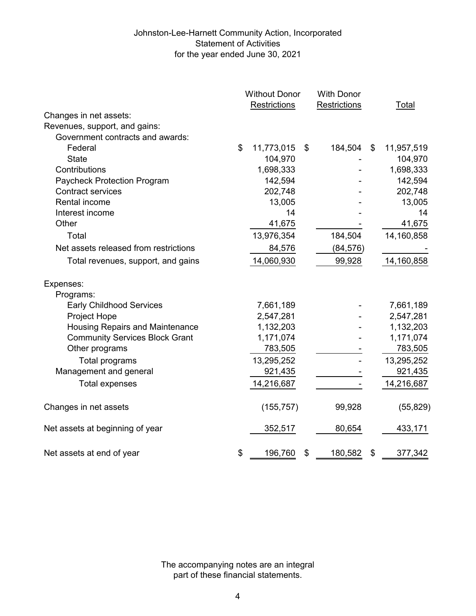# Johnston-Lee-Harnett Community Action, Incorporated Statement of Activities for the year ended June 30, 2021

|                                        |                | <b>Without Donor</b> | <b>With Donor</b>   |                  |
|----------------------------------------|----------------|----------------------|---------------------|------------------|
|                                        |                | Restrictions         | <b>Restrictions</b> | <u>Total</u>     |
| Changes in net assets:                 |                |                      |                     |                  |
| Revenues, support, and gains:          |                |                      |                     |                  |
| Government contracts and awards:       |                |                      |                     |                  |
| Federal                                | $\mathfrak{L}$ | 11,773,015           | \$<br>184,504       | \$<br>11,957,519 |
| <b>State</b>                           |                | 104,970              |                     | 104,970          |
| Contributions                          |                | 1,698,333            |                     | 1,698,333        |
| <b>Paycheck Protection Program</b>     |                | 142,594              |                     | 142,594          |
| <b>Contract services</b>               |                | 202,748              |                     | 202,748          |
| Rental income                          |                | 13,005               |                     | 13,005           |
| Interest income                        |                | 14                   |                     | 14               |
| Other                                  |                | 41,675               |                     | 41,675           |
| Total                                  |                | 13,976,354           | 184,504             | 14,160,858       |
| Net assets released from restrictions  |                | 84,576               | (84, 576)           |                  |
| Total revenues, support, and gains     |                | 14,060,930           | 99,928              | 14,160,858       |
| Expenses:                              |                |                      |                     |                  |
| Programs:                              |                |                      |                     |                  |
| <b>Early Childhood Services</b>        |                | 7,661,189            |                     | 7,661,189        |
| Project Hope                           |                | 2,547,281            |                     | 2,547,281        |
| <b>Housing Repairs and Maintenance</b> |                | 1,132,203            |                     | 1,132,203        |
| <b>Community Services Block Grant</b>  |                | 1,171,074            |                     | 1,171,074        |
| Other programs                         |                | 783,505              |                     | 783,505          |
| Total programs                         |                | 13,295,252           |                     | 13,295,252       |
| Management and general                 |                | 921,435              |                     | 921,435          |
| <b>Total expenses</b>                  |                | 14,216,687           |                     | 14,216,687       |
| Changes in net assets                  |                | (155, 757)           | 99,928              | (55, 829)        |
| Net assets at beginning of year        |                | 352,517              | 80,654              | 433,171          |
| Net assets at end of year              | \$             | 196,760              | \$<br>180,582       | \$<br>377,342    |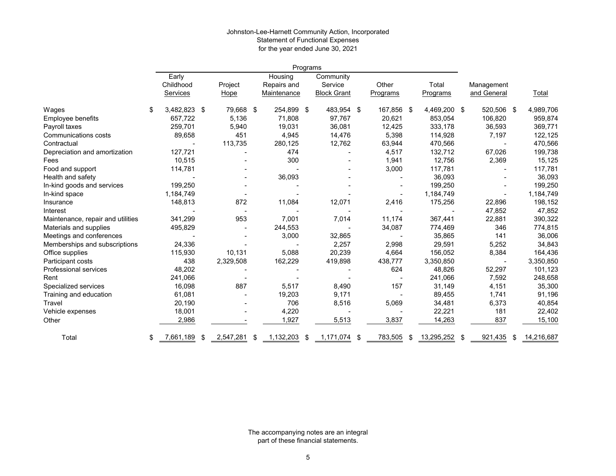#### Johnston-Lee-Harnett Community Action, Incorporated Statement of Functional Expenses for the year ended June 30, 2021

|                                   |                 |                 | Programs        |                    |                     |              |     |             |                  |
|-----------------------------------|-----------------|-----------------|-----------------|--------------------|---------------------|--------------|-----|-------------|------------------|
|                                   | Early           |                 | Housing         | Community          |                     |              |     |             |                  |
|                                   | Childhood       | Project         | Repairs and     | Service            | Other               | Total        |     | Management  |                  |
|                                   | Services        | Hope            | Maintenance     | <b>Block Grant</b> | Programs            | Programs     |     | and General | Total            |
| Wages                             | \$<br>3,482,823 | \$<br>79,668 \$ | 254,899 \$      | 483,954 \$         | 167,856<br>- \$     | 4,469,200 \$ |     | 520,506 \$  | 4,989,706        |
| Employee benefits                 | 657,722         | 5,136           | 71,808          | 97,767             | 20,621              | 853,054      |     | 106,820     | 959,874          |
| Payroll taxes                     | 259,701         | 5,940           | 19,031          | 36,081             | 12,425              | 333,178      |     | 36,593      | 369,771          |
| <b>Communications costs</b>       | 89,658          | 451             | 4,945           | 14,476             | 5,398               | 114,928      |     | 7,197       | 122,125          |
| Contractual                       |                 | 113,735         | 280,125         | 12,762             | 63,944              | 470,566      |     |             | 470,566          |
| Depreciation and amortization     | 127,721         |                 | 474             |                    | 4,517               | 132,712      |     | 67,026      | 199,738          |
| Fees                              | 10,515          |                 | 300             |                    | 1,941               | 12,756       |     | 2,369       | 15,125           |
| Food and support                  | 114,781         |                 |                 |                    | 3,000               | 117,781      |     |             | 117,781          |
| Health and safety                 |                 |                 | 36,093          |                    |                     | 36,093       |     |             | 36,093           |
| In-kind goods and services        | 199,250         |                 |                 |                    |                     | 199,250      |     |             | 199,250          |
| In-kind space                     | 1,184,749       |                 |                 |                    |                     | 1,184,749    |     |             | 1,184,749        |
| Insurance                         | 148,813         | 872             | 11,084          | 12,071             | 2,416               | 175,256      |     | 22,896      | 198,152          |
| Interest                          |                 |                 |                 |                    |                     |              |     | 47,852      | 47,852           |
| Maintenance, repair and utilities | 341,299         | 953             | 7,001           | 7,014              | 11,174              | 367,441      |     | 22,881      | 390,322          |
| Materials and supplies            | 495,829         |                 | 244,553         |                    | 34,087              | 774,469      |     | 346         | 774,815          |
| Meetings and conferences          |                 |                 | 3,000           | 32,865             |                     | 35,865       |     | 141         | 36,006           |
| Memberships and subscriptions     | 24,336          |                 |                 | 2,257              | 2,998               | 29,591       |     | 5,252       | 34,843           |
| Office supplies                   | 115,930         | 10,131          | 5,088           | 20,239             | 4,664               | 156,052      |     | 8,384       | 164,436          |
| Participant costs                 | 438             | 2,329,508       | 162,229         | 419,898            | 438,777             | 3,350,850    |     |             | 3,350,850        |
| <b>Professional services</b>      | 48,202          |                 |                 |                    | 624                 | 48,826       |     | 52,297      | 101,123          |
| Rent                              | 241,066         |                 |                 |                    |                     | 241,066      |     | 7,592       | 248,658          |
| Specialized services              | 16,098          | 887             | 5,517           | 8,490              | 157                 | 31,149       |     | 4,151       | 35,300           |
| Training and education            | 61,081          |                 | 19,203          | 9,171              |                     | 89,455       |     | 1,741       | 91,196           |
| Travel                            | 20,190          |                 | 706             | 8,516              | 5,069               | 34,481       |     | 6,373       | 40,854           |
| Vehicle expenses                  | 18,001          |                 | 4,220           |                    |                     | 22,221       |     | 181         | 22,402           |
| Other                             | 2,986           |                 | 1,927           | 5,513              | 3,837               | 14,263       |     | 837         | 15,100           |
| Total                             | \$<br>7,661,189 | \$<br>2,547,281 | \$<br>1,132,203 | \$<br>1,171,074    | \$<br>783,505<br>\$ | 13,295,252   | -\$ | 921,435     | \$<br>14,216,687 |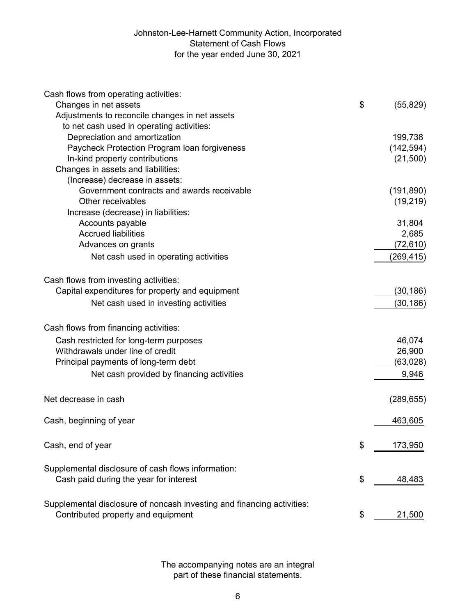# Johnston-Lee-Harnett Community Action, Incorporated Statement of Cash Flows for the year ended June 30, 2021

| Cash flows from operating activities:                                  |                 |
|------------------------------------------------------------------------|-----------------|
| Changes in net assets                                                  | \$<br>(55, 829) |
| Adjustments to reconcile changes in net assets                         |                 |
| to net cash used in operating activities:                              |                 |
| Depreciation and amortization                                          | 199,738         |
| Paycheck Protection Program loan forgiveness                           | (142, 594)      |
| In-kind property contributions                                         | (21,500)        |
| Changes in assets and liabilities:                                     |                 |
| (Increase) decrease in assets:                                         |                 |
| Government contracts and awards receivable                             | (191, 890)      |
| Other receivables                                                      | (19, 219)       |
| Increase (decrease) in liabilities:                                    |                 |
| Accounts payable                                                       | 31,804          |
| <b>Accrued liabilities</b>                                             | 2,685           |
| Advances on grants                                                     | (72, 610)       |
| Net cash used in operating activities                                  | (269,415)       |
| Cash flows from investing activities:                                  |                 |
| Capital expenditures for property and equipment                        | (30, 186)       |
| Net cash used in investing activities                                  | (30, 186)       |
| Cash flows from financing activities:                                  |                 |
| Cash restricted for long-term purposes                                 | 46,074          |
| Withdrawals under line of credit                                       | 26,900          |
| Principal payments of long-term debt                                   | (63, 028)       |
| Net cash provided by financing activities                              | 9,946           |
| Net decrease in cash                                                   | (289, 655)      |
| Cash, beginning of year                                                | 463,605         |
| Cash, end of year                                                      | \$<br>173,950   |
| Supplemental disclosure of cash flows information:                     |                 |
| Cash paid during the year for interest                                 | \$<br>48,483    |
| Supplemental disclosure of noncash investing and financing activities: |                 |
| Contributed property and equipment                                     | \$<br>21,500    |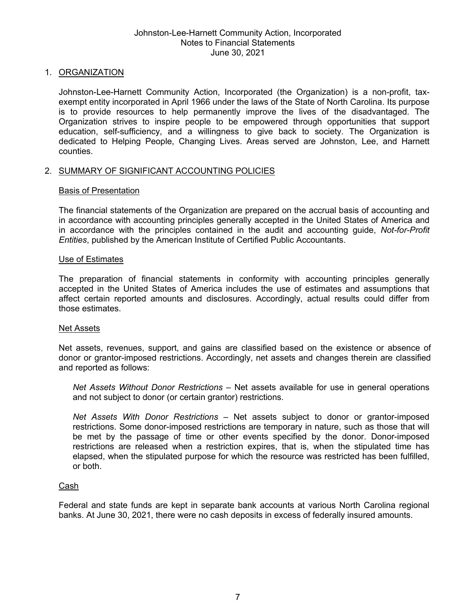#### 1. ORGANIZATION

Johnston-Lee-Harnett Community Action, Incorporated (the Organization) is a non-profit, taxexempt entity incorporated in April 1966 under the laws of the State of North Carolina. Its purpose is to provide resources to help permanently improve the lives of the disadvantaged. The Organization strives to inspire people to be empowered through opportunities that support education, self-sufficiency, and a willingness to give back to society. The Organization is dedicated to Helping People, Changing Lives. Areas served are Johnston, Lee, and Harnett counties.

#### 2. SUMMARY OF SIGNIFICANT ACCOUNTING POLICIES

#### Basis of Presentation

The financial statements of the Organization are prepared on the accrual basis of accounting and in accordance with accounting principles generally accepted in the United States of America and in accordance with the principles contained in the audit and accounting guide, *Not-for-Profit Entities*, published by the American Institute of Certified Public Accountants.

#### Use of Estimates

The preparation of financial statements in conformity with accounting principles generally accepted in the United States of America includes the use of estimates and assumptions that affect certain reported amounts and disclosures. Accordingly, actual results could differ from those estimates.

#### Net Assets

Net assets, revenues, support, and gains are classified based on the existence or absence of donor or grantor-imposed restrictions. Accordingly, net assets and changes therein are classified and reported as follows:

*Net Assets Without Donor Restrictions* – Net assets available for use in general operations and not subject to donor (or certain grantor) restrictions.

*Net Assets With Donor Restrictions* – Net assets subject to donor or grantor-imposed restrictions. Some donor-imposed restrictions are temporary in nature, such as those that will be met by the passage of time or other events specified by the donor. Donor-imposed restrictions are released when a restriction expires, that is, when the stipulated time has elapsed, when the stipulated purpose for which the resource was restricted has been fulfilled, or both.

#### Cash

Federal and state funds are kept in separate bank accounts at various North Carolina regional banks. At June 30, 2021, there were no cash deposits in excess of federally insured amounts.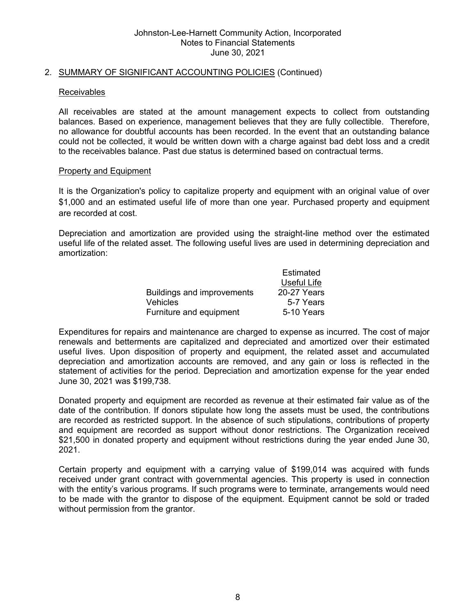# 2. SUMMARY OF SIGNIFICANT ACCOUNTING POLICIES (Continued)

#### Receivables

All receivables are stated at the amount management expects to collect from outstanding balances. Based on experience, management believes that they are fully collectible. Therefore, no allowance for doubtful accounts has been recorded. In the event that an outstanding balance could not be collected, it would be written down with a charge against bad debt loss and a credit to the receivables balance. Past due status is determined based on contractual terms.

#### Property and Equipment

It is the Organization's policy to capitalize property and equipment with an original value of over \$1,000 and an estimated useful life of more than one year. Purchased property and equipment are recorded at cost.

Depreciation and amortization are provided using the straight-line method over the estimated useful life of the related asset. The following useful lives are used in determining depreciation and amortization:

|                                   | Estimated   |
|-----------------------------------|-------------|
|                                   | Useful Life |
| <b>Buildings and improvements</b> | 20-27 Years |
| <b>Vehicles</b>                   | 5-7 Years   |
| Furniture and equipment           | 5-10 Years  |

Expenditures for repairs and maintenance are charged to expense as incurred. The cost of major renewals and betterments are capitalized and depreciated and amortized over their estimated useful lives. Upon disposition of property and equipment, the related asset and accumulated depreciation and amortization accounts are removed, and any gain or loss is reflected in the statement of activities for the period. Depreciation and amortization expense for the year ended June 30, 2021 was \$199,738.

Donated property and equipment are recorded as revenue at their estimated fair value as of the date of the contribution. If donors stipulate how long the assets must be used, the contributions are recorded as restricted support. In the absence of such stipulations, contributions of property and equipment are recorded as support without donor restrictions. The Organization received \$21,500 in donated property and equipment without restrictions during the year ended June 30, 2021.

Certain property and equipment with a carrying value of \$199,014 was acquired with funds received under grant contract with governmental agencies. This property is used in connection with the entity's various programs. If such programs were to terminate, arrangements would need to be made with the grantor to dispose of the equipment. Equipment cannot be sold or traded without permission from the grantor.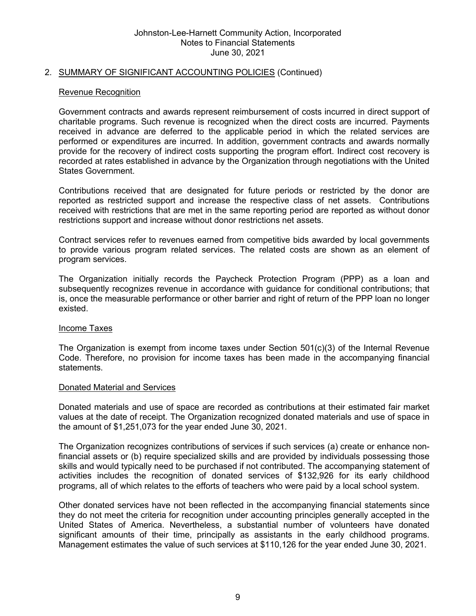# 2. SUMMARY OF SIGNIFICANT ACCOUNTING POLICIES (Continued)

#### Revenue Recognition

Government contracts and awards represent reimbursement of costs incurred in direct support of charitable programs. Such revenue is recognized when the direct costs are incurred. Payments received in advance are deferred to the applicable period in which the related services are performed or expenditures are incurred. In addition, government contracts and awards normally provide for the recovery of indirect costs supporting the program effort. Indirect cost recovery is recorded at rates established in advance by the Organization through negotiations with the United States Government.

Contributions received that are designated for future periods or restricted by the donor are reported as restricted support and increase the respective class of net assets. Contributions received with restrictions that are met in the same reporting period are reported as without donor restrictions support and increase without donor restrictions net assets.

Contract services refer to revenues earned from competitive bids awarded by local governments to provide various program related services. The related costs are shown as an element of program services.

The Organization initially records the Paycheck Protection Program (PPP) as a loan and subsequently recognizes revenue in accordance with guidance for conditional contributions; that is, once the measurable performance or other barrier and right of return of the PPP loan no longer existed.

#### Income Taxes

The Organization is exempt from income taxes under Section 501(c)(3) of the Internal Revenue Code. Therefore, no provision for income taxes has been made in the accompanying financial statements.

#### Donated Material and Services

Donated materials and use of space are recorded as contributions at their estimated fair market values at the date of receipt. The Organization recognized donated materials and use of space in the amount of \$1,251,073 for the year ended June 30, 2021.

The Organization recognizes contributions of services if such services (a) create or enhance nonfinancial assets or (b) require specialized skills and are provided by individuals possessing those skills and would typically need to be purchased if not contributed. The accompanying statement of activities includes the recognition of donated services of \$132,926 for its early childhood programs, all of which relates to the efforts of teachers who were paid by a local school system.

Other donated services have not been reflected in the accompanying financial statements since they do not meet the criteria for recognition under accounting principles generally accepted in the United States of America. Nevertheless, a substantial number of volunteers have donated significant amounts of their time, principally as assistants in the early childhood programs. Management estimates the value of such services at \$110,126 for the year ended June 30, 2021.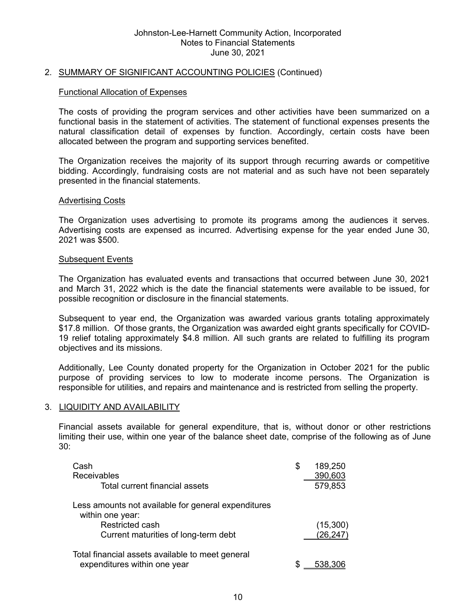# 2. SUMMARY OF SIGNIFICANT ACCOUNTING POLICIES (Continued)

#### Functional Allocation of Expenses

The costs of providing the program services and other activities have been summarized on a functional basis in the statement of activities. The statement of functional expenses presents the natural classification detail of expenses by function. Accordingly, certain costs have been allocated between the program and supporting services benefited.

The Organization receives the majority of its support through recurring awards or competitive bidding. Accordingly, fundraising costs are not material and as such have not been separately presented in the financial statements.

#### Advertising Costs

The Organization uses advertising to promote its programs among the audiences it serves. Advertising costs are expensed as incurred. Advertising expense for the year ended June 30, 2021 was \$500.

#### Subsequent Events

The Organization has evaluated events and transactions that occurred between June 30, 2021 and March 31, 2022 which is the date the financial statements were available to be issued, for possible recognition or disclosure in the financial statements.

Subsequent to year end, the Organization was awarded various grants totaling approximately \$17.8 million. Of those grants, the Organization was awarded eight grants specifically for COVID-19 relief totaling approximately \$4.8 million. All such grants are related to fulfilling its program objectives and its missions.

Additionally, Lee County donated property for the Organization in October 2021 for the public purpose of providing services to low to moderate income persons. The Organization is responsible for utilities, and repairs and maintenance and is restricted from selling the property.

#### 3. LIQUIDITY AND AVAILABILITY

Financial assets available for general expenditure, that is, without donor or other restrictions limiting their use, within one year of the balance sheet date, comprise of the following as of June 30:

| Cash                                                                    | \$<br>189,250 |
|-------------------------------------------------------------------------|---------------|
| <b>Receivables</b>                                                      | 390,603       |
| Total current financial assets                                          | 579,853       |
| Less amounts not available for general expenditures<br>within one year: |               |
| Restricted cash                                                         | (15,300)      |
| Current maturities of long-term debt                                    | (26, 247)     |
| Total financial assets available to meet general                        |               |
| expenditures within one year                                            |               |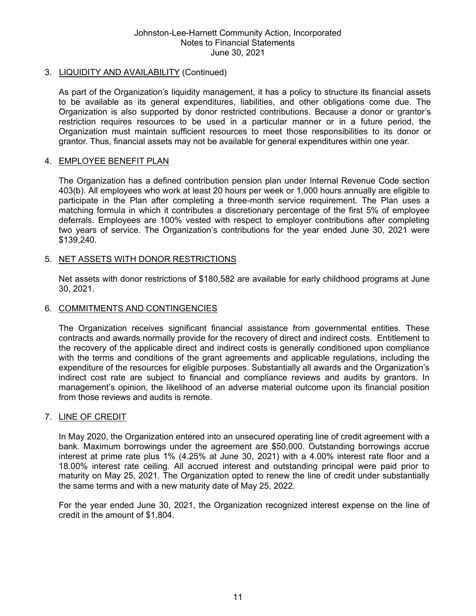# 3. LIQUIDITY AND AVAILABILITY (Continued)

As part of the Organization's liquidity management, it has a policy to structure its financial assets to be available as its general expenditures, liabilities, and other obligations come due. The Organization is also supported by donor restricted contributions. Because a donor or grantor's restriction requires resources to be used in a particular manner or in a future period, the Organization must maintain sufficient resources to meet those responsibilities to its donor or grantor. Thus, financial assets may not be available for general expenditures within one year.

# 4. EMPLOYEE BENEFIT PLAN

The Organization has a defined contribution pension plan under Internal Revenue Code section 403(b). All employees who work at least 20 hours per week or 1,000 hours annually are eligible to participate in the Plan after completing a three-month service requirement. The Plan uses a matching formula in which it contributes a discretionary percentage of the first 5% of employee deferrals. Employees are 100% vested with respect to employer contributions after completing two years of service. The Organization's contributions for the year ended June 30, 2021 were \$139,240.

#### 5. NET ASSETS WITH DONOR RESTRICTIONS

Net assets with donor restrictions of \$180,582 are available for early childhood programs at June 30, 2021.

#### 6. COMMITMENTS AND CONTINGENCIES

The Organization receives significant financial assistance from governmental entities. These contracts and awards normally provide for the recovery of direct and indirect costs. Entitlement to the recovery of the applicable direct and indirect costs is generally conditioned upon compliance with the terms and conditions of the grant agreements and applicable regulations, including the expenditure of the resources for eligible purposes. Substantially all awards and the Organization's indirect cost rate are subject to financial and compliance reviews and audits by grantors. In management's opinion, the likelihood of an adverse material outcome upon its financial position from those reviews and audits is remote.

# 7. LINE OF CREDIT

In May 2020, the Organization entered into an unsecured operating line of credit agreement with a bank. Maximum borrowings under the agreement are \$50,000. Outstanding borrowings accrue interest at prime rate plus 1% (4.25% at June 30, 2021) with a 4.00% interest rate floor and a 18.00% interest rate ceiling. All accrued interest and outstanding principal were paid prior to maturity on May 25, 2021. The Organization opted to renew the line of credit under substantially the same terms and with a new maturity date of May 25, 2022.

For the year ended June 30, 2021, the Organization recognized interest expense on the line of credit in the amount of \$1,804.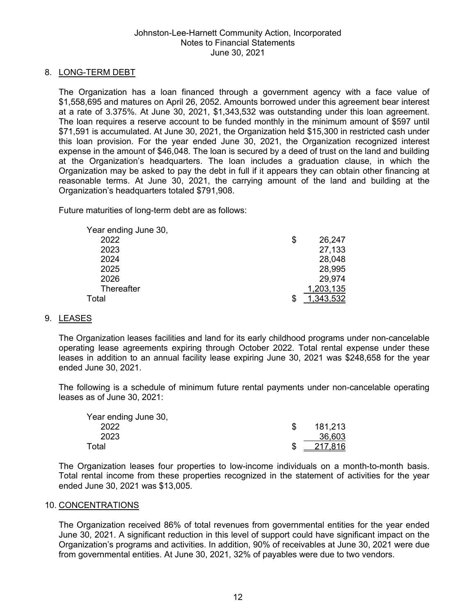# 8. LONG-TERM DEBT

The Organization has a loan financed through a government agency with a face value of \$1,558,695 and matures on April 26, 2052. Amounts borrowed under this agreement bear interest at a rate of 3.375%. At June 30, 2021, \$1,343,532 was outstanding under this loan agreement. The loan requires a reserve account to be funded monthly in the minimum amount of \$597 until \$71,591 is accumulated. At June 30, 2021, the Organization held \$15,300 in restricted cash under this loan provision. For the year ended June 30, 2021, the Organization recognized interest expense in the amount of \$46,048. The loan is secured by a deed of trust on the land and building at the Organization's headquarters. The loan includes a graduation clause, in which the Organization may be asked to pay the debt in full if it appears they can obtain other financing at reasonable terms. At June 30, 2021, the carrying amount of the land and building at the Organization's headquarters totaled \$791,908.

Future maturities of long-term debt are as follows:

| Year ending June 30, |               |
|----------------------|---------------|
| 2022                 | \$<br>26,247  |
| 2023                 | 27,133        |
| 2024                 | 28,048        |
| 2025                 | 28,995        |
| 2026                 | 29,974        |
| Thereafter           | 1,203,135     |
| Total                | \$<br>343.532 |

# 9. LEASES

The Organization leases facilities and land for its early childhood programs under non-cancelable operating lease agreements expiring through October 2022. Total rental expense under these leases in addition to an annual facility lease expiring June 30, 2021 was \$248,658 for the year ended June 30, 2021.

The following is a schedule of minimum future rental payments under non-cancelable operating leases as of June 30, 2021:

| Year ending June 30, |         |
|----------------------|---------|
| 2022                 | 181,213 |
| 2023                 | 36,603  |
| Total                | 217,816 |

The Organization leases four properties to low-income individuals on a month-to-month basis. Total rental income from these properties recognized in the statement of activities for the year ended June 30, 2021 was \$13,005.

#### 10. CONCENTRATIONS

The Organization received 86% of total revenues from governmental entities for the year ended June 30, 2021. A significant reduction in this level of support could have significant impact on the Organization's programs and activities. In addition, 90% of receivables at June 30, 2021 were due from governmental entities. At June 30, 2021, 32% of payables were due to two vendors.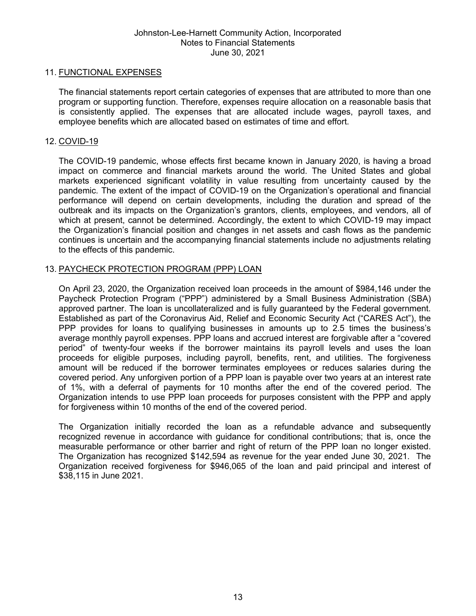#### 11. FUNCTIONAL EXPENSES

The financial statements report certain categories of expenses that are attributed to more than one program or supporting function. Therefore, expenses require allocation on a reasonable basis that is consistently applied. The expenses that are allocated include wages, payroll taxes, and employee benefits which are allocated based on estimates of time and effort.

#### 12. COVID-19

The COVID-19 pandemic, whose effects first became known in January 2020, is having a broad impact on commerce and financial markets around the world. The United States and global markets experienced significant volatility in value resulting from uncertainty caused by the pandemic. The extent of the impact of COVID-19 on the Organization's operational and financial performance will depend on certain developments, including the duration and spread of the outbreak and its impacts on the Organization's grantors, clients, employees, and vendors, all of which at present, cannot be determined. Accordingly, the extent to which COVID-19 may impact the Organization's financial position and changes in net assets and cash flows as the pandemic continues is uncertain and the accompanying financial statements include no adjustments relating to the effects of this pandemic.

#### 13. PAYCHECK PROTECTION PROGRAM (PPP) LOAN

On April 23, 2020, the Organization received loan proceeds in the amount of \$984,146 under the Paycheck Protection Program ("PPP") administered by a Small Business Administration (SBA) approved partner. The loan is uncollateralized and is fully guaranteed by the Federal government. Established as part of the Coronavirus Aid, Relief and Economic Security Act ("CARES Act"), the PPP provides for loans to qualifying businesses in amounts up to 2.5 times the business's average monthly payroll expenses. PPP loans and accrued interest are forgivable after a "covered period" of twenty-four weeks if the borrower maintains its payroll levels and uses the loan proceeds for eligible purposes, including payroll, benefits, rent, and utilities. The forgiveness amount will be reduced if the borrower terminates employees or reduces salaries during the covered period. Any unforgiven portion of a PPP loan is payable over two years at an interest rate of 1%, with a deferral of payments for 10 months after the end of the covered period. The Organization intends to use PPP loan proceeds for purposes consistent with the PPP and apply for forgiveness within 10 months of the end of the covered period.

The Organization initially recorded the loan as a refundable advance and subsequently recognized revenue in accordance with guidance for conditional contributions; that is, once the measurable performance or other barrier and right of return of the PPP loan no longer existed. The Organization has recognized \$142,594 as revenue for the year ended June 30, 2021. The Organization received forgiveness for \$946,065 of the loan and paid principal and interest of \$38,115 in June 2021.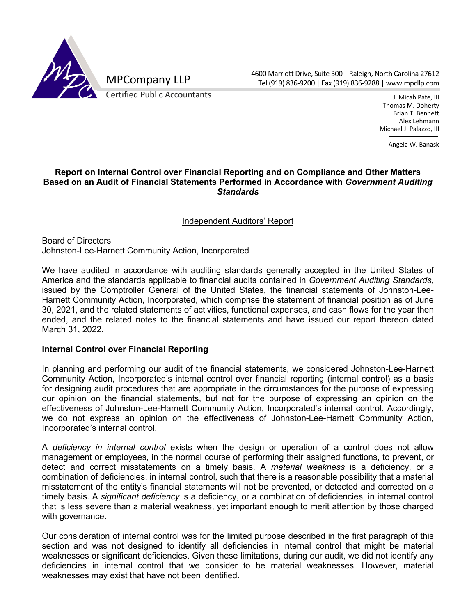

MPCompany LLP

4600 Marriott Drive, Suite 300 | Raleigh, North Carolina 27612 Tel (919) 836-9200 | Fax (919) 836-9288 | www.mpcllp.com

**Certified Public Accountants** 

J. Micah Pate, III Thomas M. Doherty Brian T. Bennett Alex Lehmann Michael J. Palazzo, III

Angela W. Banask

#### **Report on Internal Control over Financial Reporting and on Compliance and Other Matters Based on an Audit of Financial Statements Performed in Accordance with** *Government Auditing Standards*

# Independent Auditors' Report

Board of Directors Johnston-Lee-Harnett Community Action, Incorporated

We have audited in accordance with auditing standards generally accepted in the United States of America and the standards applicable to financial audits contained in *Government Auditing Standards*, issued by the Comptroller General of the United States, the financial statements of Johnston-Lee-Harnett Community Action, Incorporated, which comprise the statement of financial position as of June 30, 2021, and the related statements of activities, functional expenses, and cash flows for the year then ended, and the related notes to the financial statements and have issued our report thereon dated March 31, 2022.

# **Internal Control over Financial Reporting**

In planning and performing our audit of the financial statements, we considered Johnston-Lee-Harnett Community Action, Incorporated's internal control over financial reporting (internal control) as a basis for designing audit procedures that are appropriate in the circumstances for the purpose of expressing our opinion on the financial statements, but not for the purpose of expressing an opinion on the effectiveness of Johnston-Lee-Harnett Community Action, Incorporated's internal control. Accordingly, we do not express an opinion on the effectiveness of Johnston-Lee-Harnett Community Action, Incorporated's internal control.

A *deficiency in internal control* exists when the design or operation of a control does not allow management or employees, in the normal course of performing their assigned functions, to prevent, or detect and correct misstatements on a timely basis. A *material weakness* is a deficiency, or a combination of deficiencies, in internal control, such that there is a reasonable possibility that a material misstatement of the entity's financial statements will not be prevented, or detected and corrected on a timely basis. A *significant deficiency* is a deficiency, or a combination of deficiencies, in internal control that is less severe than a material weakness, yet important enough to merit attention by those charged with governance.

Our consideration of internal control was for the limited purpose described in the first paragraph of this section and was not designed to identify all deficiencies in internal control that might be material weaknesses or significant deficiencies. Given these limitations, during our audit, we did not identify any deficiencies in internal control that we consider to be material weaknesses. However, material weaknesses may exist that have not been identified.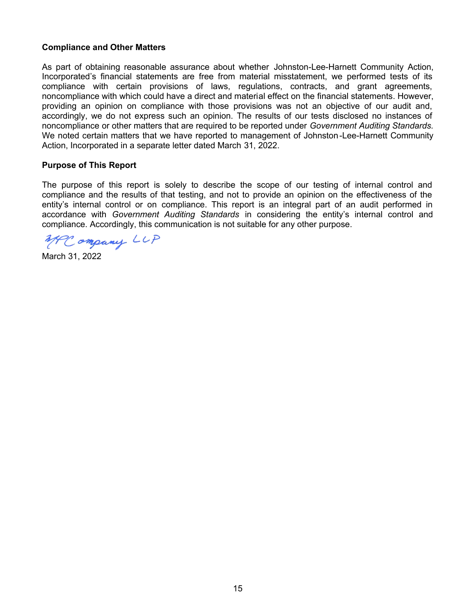#### **Compliance and Other Matters**

As part of obtaining reasonable assurance about whether Johnston-Lee-Harnett Community Action, Incorporated's financial statements are free from material misstatement, we performed tests of its compliance with certain provisions of laws, regulations, contracts, and grant agreements, noncompliance with which could have a direct and material effect on the financial statements. However, providing an opinion on compliance with those provisions was not an objective of our audit and, accordingly, we do not express such an opinion. The results of our tests disclosed no instances of noncompliance or other matters that are required to be reported under *Government Auditing Standards.* We noted certain matters that we have reported to management of Johnston-Lee-Harnett Community Action, Incorporated in a separate letter dated March 31, 2022.

#### **Purpose of This Report**

The purpose of this report is solely to describe the scope of our testing of internal control and compliance and the results of that testing, and not to provide an opinion on the effectiveness of the entity's internal control or on compliance. This report is an integral part of an audit performed in accordance with *Government Auditing Standards* in considering the entity's internal control and compliance. Accordingly, this communication is not suitable for any other purpose.

MPC ompany LLP

March 31, 2022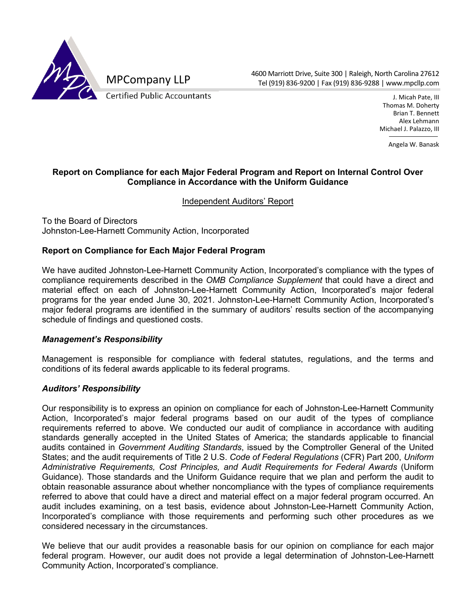

MPCompany LLP

4600 Marriott Drive, Suite 300 | Raleigh, North Carolina 27612 Tel (919) 836-9200 | Fax (919) 836-9288 | www.mpcllp.com

**Certified Public Accountants** 

J. Micah Pate, III Thomas M. Doherty Brian T. Bennett Alex Lehmann Michael J. Palazzo, III

Angela W. Banask

# **Report on Compliance for each Major Federal Program and Report on Internal Control Over Compliance in Accordance with the Uniform Guidance**

# Independent Auditors' Report

To the Board of Directors Johnston-Lee-Harnett Community Action, Incorporated

#### **Report on Compliance for Each Major Federal Program**

We have audited Johnston-Lee-Harnett Community Action, Incorporated's compliance with the types of compliance requirements described in the *OMB Compliance Supplement* that could have a direct and material effect on each of Johnston-Lee-Harnett Community Action, Incorporated's major federal programs for the year ended June 30, 2021. Johnston-Lee-Harnett Community Action, Incorporated's major federal programs are identified in the summary of auditors' results section of the accompanying schedule of findings and questioned costs.

#### *Management's Responsibility*

Management is responsible for compliance with federal statutes, regulations, and the terms and conditions of its federal awards applicable to its federal programs.

#### *Auditors' Responsibility*

Our responsibility is to express an opinion on compliance for each of Johnston-Lee-Harnett Community Action, Incorporated's major federal programs based on our audit of the types of compliance requirements referred to above. We conducted our audit of compliance in accordance with auditing standards generally accepted in the United States of America; the standards applicable to financial audits contained in *Government Auditing Standards*, issued by the Comptroller General of the United States; and the audit requirements of Title 2 U.S. *Code of Federal Regulations* (CFR) Part 200, *Uniform Administrative Requirements, Cost Principles, and Audit Requirements for Federal Awards* (Uniform Guidance). Those standards and the Uniform Guidance require that we plan and perform the audit to obtain reasonable assurance about whether noncompliance with the types of compliance requirements referred to above that could have a direct and material effect on a major federal program occurred. An audit includes examining, on a test basis, evidence about Johnston-Lee-Harnett Community Action, Incorporated's compliance with those requirements and performing such other procedures as we considered necessary in the circumstances.

We believe that our audit provides a reasonable basis for our opinion on compliance for each major federal program. However, our audit does not provide a legal determination of Johnston-Lee-Harnett Community Action, Incorporated's compliance.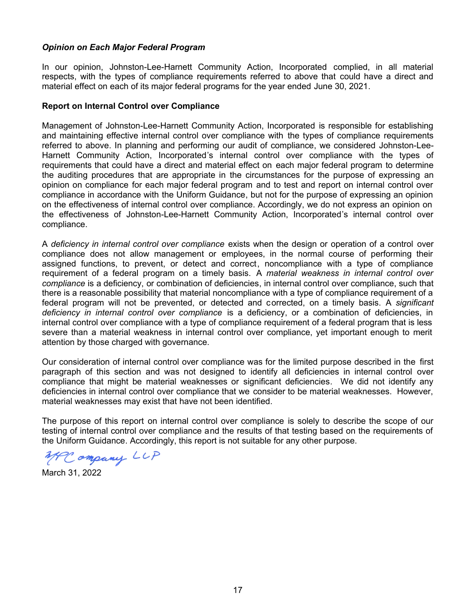# *Opinion on Each Major Federal Program*

In our opinion, Johnston-Lee-Harnett Community Action, Incorporated complied, in all material respects, with the types of compliance requirements referred to above that could have a direct and material effect on each of its major federal programs for the year ended June 30, 2021.

#### **Report on Internal Control over Compliance**

Management of Johnston-Lee-Harnett Community Action, Incorporated is responsible for establishing and maintaining effective internal control over compliance with the types of compliance requirements referred to above. In planning and performing our audit of compliance, we considered Johnston-Lee-Harnett Community Action, Incorporated's internal control over compliance with the types of requirements that could have a direct and material effect on each major federal program to determine the auditing procedures that are appropriate in the circumstances for the purpose of expressing an opinion on compliance for each major federal program and to test and report on internal control over compliance in accordance with the Uniform Guidance, but not for the purpose of expressing an opinion on the effectiveness of internal control over compliance. Accordingly, we do not express an opinion on the effectiveness of Johnston-Lee-Harnett Community Action, Incorporated's internal control over compliance.

A *deficiency in internal control over compliance* exists when the design or operation of a control over compliance does not allow management or employees, in the normal course of performing their assigned functions, to prevent, or detect and correct, noncompliance with a type of compliance requirement of a federal program on a timely basis. A *material weakness in internal control over compliance* is a deficiency, or combination of deficiencies, in internal control over compliance, such that there is a reasonable possibility that material noncompliance with a type of compliance requirement of a federal program will not be prevented, or detected and corrected, on a timely basis. A *significant deficiency in internal control over compliance* is a deficiency, or a combination of deficiencies, in internal control over compliance with a type of compliance requirement of a federal program that is less severe than a material weakness in internal control over compliance, yet important enough to merit attention by those charged with governance.

Our consideration of internal control over compliance was for the limited purpose described in the first paragraph of this section and was not designed to identify all deficiencies in internal control over compliance that might be material weaknesses or significant deficiencies. We did not identify any deficiencies in internal control over compliance that we consider to be material weaknesses. However, material weaknesses may exist that have not been identified.

The purpose of this report on internal control over compliance is solely to describe the scope of our testing of internal control over compliance and the results of that testing based on the requirements of the Uniform Guidance. Accordingly, this report is not suitable for any other purpose.

MPC ompany LLP

March 31, 2022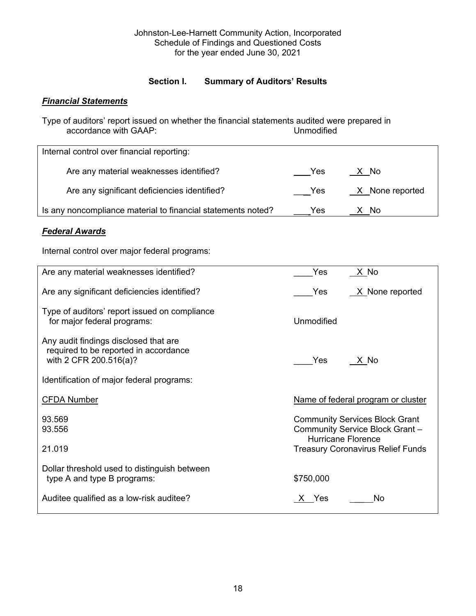# **Section I. Summary of Auditors' Results**

# *Financial Statements*

Type of auditors' report issued on whether the financial statements audited were prepared in accordance with GAAP: Unmodified

| Internal control over financial reporting:                   |     |                 |
|--------------------------------------------------------------|-----|-----------------|
| Are any material weaknesses identified?                      | Yes | X No            |
| Are any significant deficiencies identified?                 | Yes | X None reported |
| Is any noncompliance material to financial statements noted? | Yes | X No            |

# *Federal Awards*

Internal control over major federal programs:

| Are any material weaknesses identified?                                                                  | Yes                       | X No                                                                    |
|----------------------------------------------------------------------------------------------------------|---------------------------|-------------------------------------------------------------------------|
| Are any significant deficiencies identified?                                                             | Yes                       | X None reported                                                         |
| Type of auditors' report issued on compliance<br>for major federal programs:                             | Unmodified                |                                                                         |
| Any audit findings disclosed that are<br>required to be reported in accordance<br>with 2 CFR 200.516(a)? | Yes                       | X No                                                                    |
| Identification of major federal programs:                                                                |                           |                                                                         |
| <b>CFDA Number</b>                                                                                       |                           | Name of federal program or cluster                                      |
| 93.569<br>93.556                                                                                         |                           | <b>Community Services Block Grant</b><br>Community Service Block Grant- |
| 21.019                                                                                                   | <b>Hurricane Florence</b> | <b>Treasury Coronavirus Relief Funds</b>                                |
| Dollar threshold used to distinguish between<br>type A and type B programs:                              | \$750,000                 |                                                                         |
| Auditee qualified as a low-risk auditee?                                                                 | Yes                       | No                                                                      |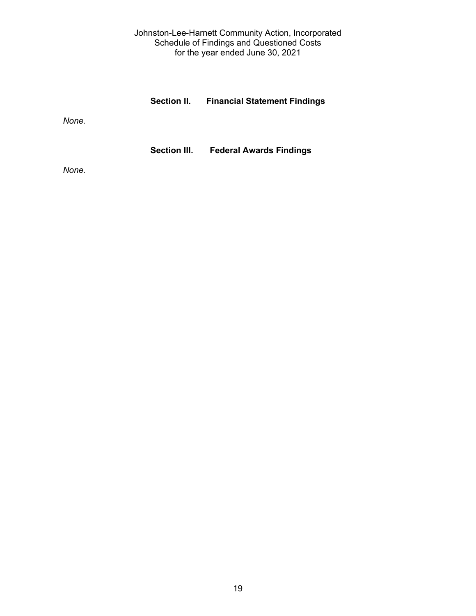# Johnston-Lee-Harnett Community Action, Incorporated Schedule of Findings and Questioned Costs for the year ended June 30, 2021

**Section II. Financial Statement Findings**

*None.*

**Section III. Federal Awards Findings**

*None.*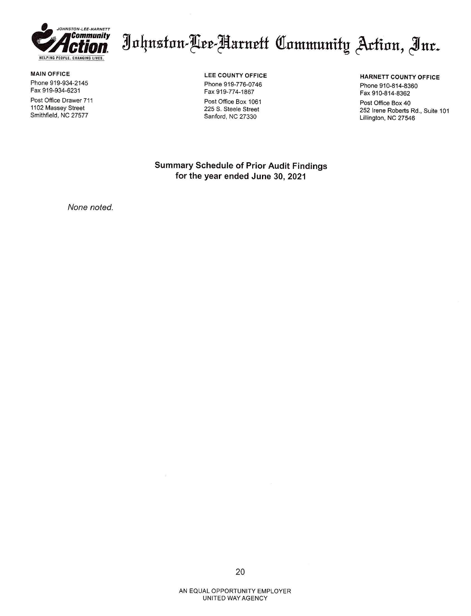

**MAIN OFFICE** Phone 919-934-2145 Fax 919-934-6231

Post Office Drawer 711 1102 Massey Street Smithfield, NC 27577

# Johnston-Pee-Narnett Community Action, Inc.

LEE COUNTY OFFICE Phone 919-776-0746 Fax 919-774-1867 Post Office Box 1061 225 S. Steele Street Sanford, NC 27330

#### **HARNETT COUNTY OFFICE** Phone 910-814-8360 Fax 910-814-8362 Post Office Box 40 252 Irene Roberts Rd., Suite 101 Lillington, NC 27546

# **Summary Schedule of Prior Audit Findings** for the year ended June 30, 2021

None noted.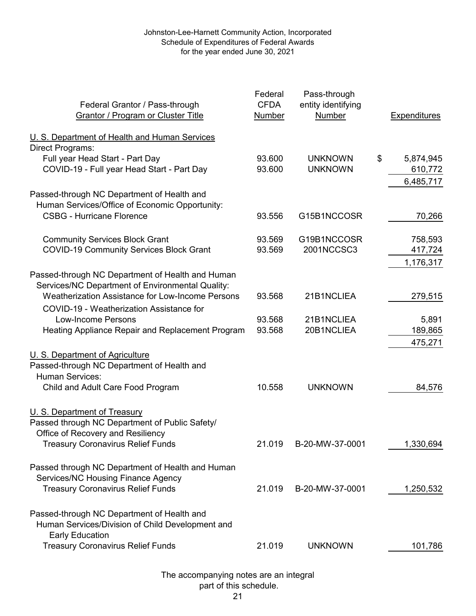#### Johnston-Lee-Harnett Community Action, Incorporated Schedule of Expenditures of Federal Awards for the year ended June 30, 2021

| Federal Grantor / Pass-through<br><b>Grantor / Program or Cluster Title</b>                          | Federal<br><b>CFDA</b><br>Number | Pass-through<br>entity identifying<br>Number | <b>Expenditures</b>        |
|------------------------------------------------------------------------------------------------------|----------------------------------|----------------------------------------------|----------------------------|
| U. S. Department of Health and Human Services                                                        |                                  |                                              |                            |
| Direct Programs:                                                                                     |                                  |                                              |                            |
| Full year Head Start - Part Day<br>COVID-19 - Full year Head Start - Part Day                        | 93.600<br>93.600                 | <b>UNKNOWN</b><br><b>UNKNOWN</b>             | \$<br>5,874,945<br>610,772 |
|                                                                                                      |                                  |                                              | 6,485,717                  |
| Passed-through NC Department of Health and<br>Human Services/Office of Economic Opportunity:         |                                  |                                              |                            |
| <b>CSBG - Hurricane Florence</b>                                                                     | 93.556                           | G15B1NCCOSR                                  | 70,266                     |
| <b>Community Services Block Grant</b>                                                                | 93.569                           | G19B1NCCOSR                                  | 758,593                    |
| <b>COVID-19 Community Services Block Grant</b>                                                       | 93.569                           | 2001NCCSC3                                   | 417,724                    |
|                                                                                                      |                                  |                                              | 1,176,317                  |
| Passed-through NC Department of Health and Human<br>Services/NC Department of Environmental Quality: |                                  |                                              |                            |
| Weatherization Assistance for Low-Income Persons                                                     | 93.568                           | 21B1NCLIEA                                   | 279,515                    |
| COVID-19 - Weatherization Assistance for                                                             |                                  |                                              |                            |
| <b>Low-Income Persons</b><br>Heating Appliance Repair and Replacement Program                        | 93.568<br>93.568                 | 21B1NCLIEA<br>20B1NCLIEA                     | 5,891<br>189,865           |
|                                                                                                      |                                  |                                              | 475,271                    |
| U. S. Department of Agriculture                                                                      |                                  |                                              |                            |
| Passed-through NC Department of Health and                                                           |                                  |                                              |                            |
| <b>Human Services:</b>                                                                               | 10.558                           | <b>UNKNOWN</b>                               |                            |
| Child and Adult Care Food Program                                                                    |                                  |                                              | 84,576                     |
| U. S. Department of Treasury<br>Passed through NC Department of Public Safety/                       |                                  |                                              |                            |
| Office of Recovery and Resiliency                                                                    |                                  |                                              |                            |
| <b>Treasury Coronavirus Relief Funds</b>                                                             | 21.019                           | B-20-MW-37-0001                              | 1,330,694                  |
| Passed through NC Department of Health and Human<br><b>Services/NC Housing Finance Agency</b>        |                                  |                                              |                            |
| <b>Treasury Coronavirus Relief Funds</b>                                                             | 21.019                           | B-20-MW-37-0001                              | 1,250,532                  |
| Passed-through NC Department of Health and<br>Human Services/Division of Child Development and       |                                  |                                              |                            |
| <b>Early Education</b>                                                                               |                                  |                                              |                            |
| <b>Treasury Coronavirus Relief Funds</b>                                                             | 21.019                           | <b>UNKNOWN</b>                               | 101,786                    |
|                                                                                                      |                                  |                                              |                            |

# The accompanying notes are an integral part of this schedule.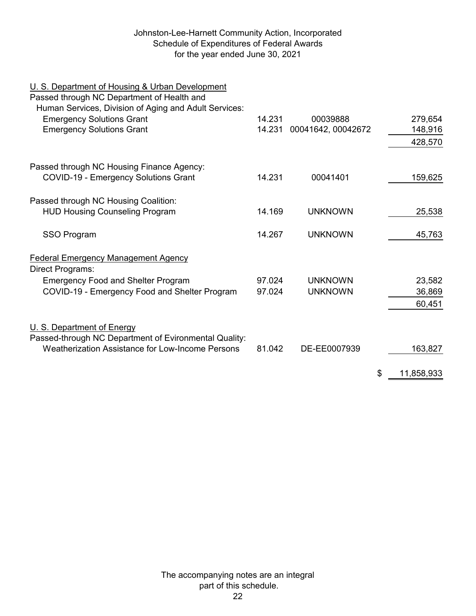| U. S. Department of Housing & Urban Development                                           |        |                    |            |
|-------------------------------------------------------------------------------------------|--------|--------------------|------------|
| Passed through NC Department of Health and                                                |        |                    |            |
| Human Services, Division of Aging and Adult Services:<br><b>Emergency Solutions Grant</b> | 14.231 | 00039888           | 279,654    |
| <b>Emergency Solutions Grant</b>                                                          | 14.231 | 00041642, 00042672 | 148,916    |
|                                                                                           |        |                    | 428,570    |
| Passed through NC Housing Finance Agency:                                                 |        |                    |            |
| <b>COVID-19 - Emergency Solutions Grant</b>                                               | 14.231 | 00041401           | 159,625    |
| Passed through NC Housing Coalition:                                                      |        |                    |            |
| <b>HUD Housing Counseling Program</b>                                                     | 14.169 | <b>UNKNOWN</b>     | 25,538     |
| SSO Program                                                                               | 14.267 | <b>UNKNOWN</b>     | 45,763     |
| <b>Federal Emergency Management Agency</b>                                                |        |                    |            |
| Direct Programs:                                                                          |        |                    |            |
| <b>Emergency Food and Shelter Program</b>                                                 | 97.024 | <b>UNKNOWN</b>     | 23,582     |
| COVID-19 - Emergency Food and Shelter Program                                             | 97.024 | <b>UNKNOWN</b>     | 36,869     |
|                                                                                           |        |                    | 60,451     |
| U. S. Department of Energy                                                                |        |                    |            |
| Passed-through NC Department of Evironmental Quality:                                     |        |                    |            |
| Weatherization Assistance for Low-Income Persons                                          | 81.042 | DE-EE0007939       | 163,827    |
|                                                                                           |        |                    | 11,858,933 |